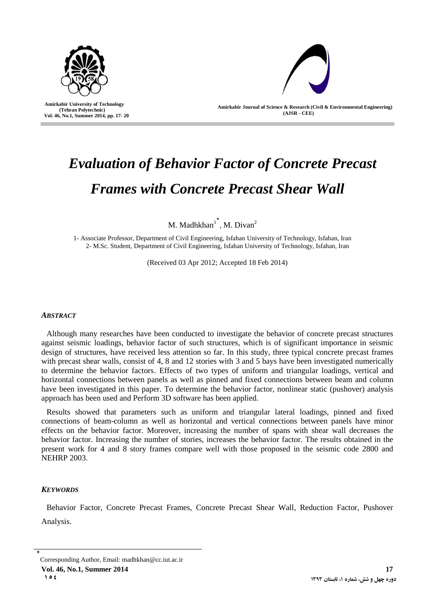

 **Amirkabir University of Technology (Tehran Polytechnic) Vol. 46, No.1, Summer 2014, pp. 17- 20**

I



**Amirkabir Journal of Science & Research (Civil & Environmental Engineering) (AJSR - CEE)**

# *Evaluation of Behavior Factor of Concrete Precast Frames with Concrete Precast Shear Wall*

M. Madhkhan $1^*$ , M. Divan<sup>2</sup>

1- Associate Professor, Department of Civil Engineering, Isfahan University of Technology, Isfahan, Iran 2- M.Sc. Student, Department of Civil Engineering, Isfahan University of Technology, Isfahan, Iran

(Received 03 Apr 2012; Accepted 18 Feb 2014)

## *ABSTRACT*

Although many researches have been conducted to investigate the behavior of concrete precast structures against seismic loadings, behavior factor of such structures, which is of significant importance in seismic design of structures, have received less attention so far. In this study, three typical concrete precast frames with precast shear walls, consist of 4, 8 and 12 stories with 3 and 5 bays have been investigated numerically to determine the behavior factors. Effects of two types of uniform and triangular loadings, vertical and horizontal connections between panels as well as pinned and fixed connections between beam and column have been investigated in this paper. To determine the behavior factor, nonlinear static (pushover) analysis approach has been used and Perform 3D software has been applied.

Results showed that parameters such as uniform and triangular lateral loadings, pinned and fixed connections of beam-column as well as horizontal and vertical connections between panels have minor effects on the behavior factor. Moreover, increasing the number of spans with shear wall decreases the behavior factor. Increasing the number of stories, increases the behavior factor. The results obtained in the present work for 4 and 8 story frames compare well with those proposed in the seismic code 2800 and NEHRP 2003.

### *KEYWORDS*

Behavior Factor, Concrete Precast Frames, Concrete Precast Shear Wall, Reduction Factor, Pushover Analysis.

**Vol. 46, No.1, Summer 2014** 17 **154 <sup>3131</sup>**

<sup>٭</sup> Corresponding Author, Email: madhkhan@cc.iut.ac.ir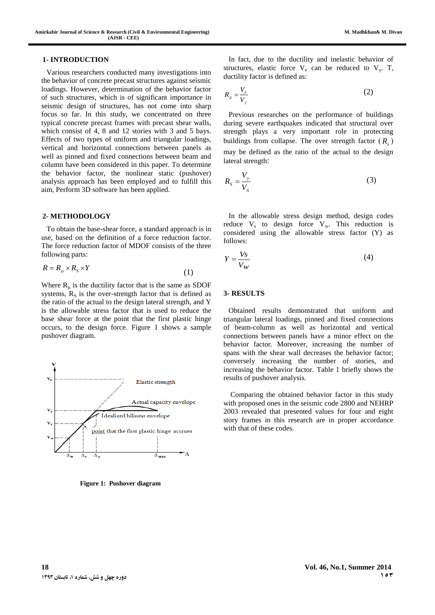Various researchers conducted many investigations into the behavior of concrete precast structures against seismic loadings. However, determination of the behavior factor of such structures, which is of significant importance in seismic design of structures, has not come into sharp focus so far. In this study, we concentrated on three typical concrete precast frames with precast shear walls, which consist of 4, 8 and 12 stories with 3 and 5 bays. Effects of two types of uniform and triangular loadings, vertical and horizontal connections between panels as well as pinned and fixed connections between beam and column have been considered in this paper. To determine the behavior factor, the nonlinear static (pushover) analysis approach has been employed and to fulfill this aim, Perform 3D software has been applied.

#### **2- METHODOLOGY**

To obtain the base-shear force, a standard approach is in use, based on the definition of a force reduction factor. The force reduction factor of MDOF consists of the three following parts:

$$
R = R_{\mu} \times R_{S} \times Y \tag{1}
$$

Where  $R_{\mu}$  is the ductility factor that is the same as SDOF systems,  $R<sub>S</sub>$  is the over-strength factor that is defined as the ratio of the actual to the design lateral strength, and Y is the allowable stress factor that is used to reduce the base shear force at the point that the first plastic hinge occurs, to the design force. Figure 1 shows a sample pushover diagram.



**Figure 1: Pushover diagram** 

In fact, due to the ductility and inelastic behavior of structures, elastic force  $V_e$  can be reduced to  $V_y$ . T, ductility factor is defined as:

$$
R_{\mu} = \frac{V_e}{V_y} \tag{2}
$$

Previous researches on the performance of buildings during severe earthquakes indicated that structural over strength plays a very important role in protecting buildings from collapse. The over strength factor ( *Rs* ) may be defined as the ratio of the actual to the design lateral strength:

$$
R_s = \frac{V_y}{V_s} \tag{3}
$$

In the allowable stress design method, design codes reduce  $V_s$  to design force  $V_w$ . This reduction is considered using the allowable stress factor (Y) as follows:

$$
Y = \frac{V_s}{V_W} \tag{4}
$$

#### **3- RESULTS**

Obtained results demonstrated that uniform and triangular lateral loadings, pinned and fixed connections of beam-column as well as horizontal and vertical connections between panels have a minor effect on the behavior factor. Moreover, increasing the number of spans with the shear wall decreases the behavior factor; conversely increasing the number of stories, and increasing the behavior factor. Table 1 briefly shows the results of pushover analysis.

Comparing the obtained behavior factor in this study with proposed ones in the seismic code 2800 and NEHRP 2003 revealed that presented values for four and eight story frames in this research are in proper accordance with that of these codes.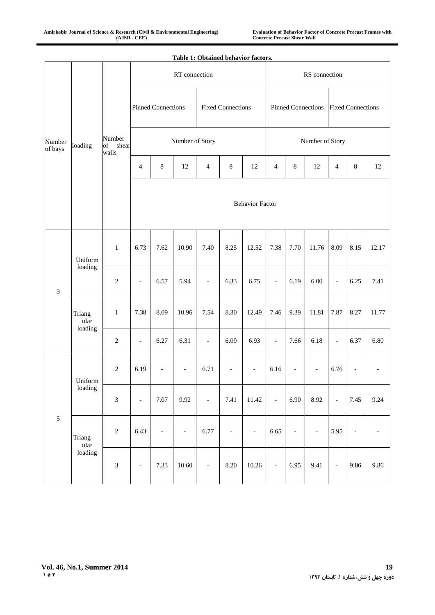|                   | Table 1: Obtained behavior factors. |                                |                           |                |                          |                          |                          |                          |                           |                          |                          |                          |                          |                          |
|-------------------|-------------------------------------|--------------------------------|---------------------------|----------------|--------------------------|--------------------------|--------------------------|--------------------------|---------------------------|--------------------------|--------------------------|--------------------------|--------------------------|--------------------------|
| Number<br>of bays | loading                             | Number<br>of<br>shear<br>walls | RT connection             |                |                          |                          |                          |                          | RS connection             |                          |                          |                          |                          |                          |
|                   |                                     |                                | <b>Pinned Connections</b> |                |                          | <b>Fixed Connections</b> |                          |                          | <b>Pinned Connections</b> |                          |                          | <b>Fixed Connections</b> |                          |                          |
|                   |                                     |                                | Number of Story           |                |                          |                          |                          |                          | Number of Story           |                          |                          |                          |                          |                          |
|                   |                                     |                                | $\overline{4}$            | $\,8\,$        | $12\,$                   | $\overline{4}$           | $\,8\,$                  | 12                       | $\overline{4}$            | $\,8\,$                  | 12                       | $\overline{4}$           | $\,8\,$                  | 12                       |
|                   |                                     |                                | <b>Behavior Factor</b>    |                |                          |                          |                          |                          |                           |                          |                          |                          |                          |                          |
| $\mathfrak{Z}$    | Uniform<br>loading                  | $\mathbf{1}$                   | 6.73                      | 7.62           | 10.90                    | 7.40                     | 8.25                     | 12.52                    | 7.38                      | 7.70                     | 11.76                    | 8.09                     | 8.15                     | 12.17                    |
|                   |                                     | $\sqrt{2}$                     | $\overline{\phantom{a}}$  | 6.57           | 5.94                     | $\overline{\phantom{a}}$ | 6.33                     | 6.75                     | $\overline{\phantom{a}}$  | 6.19                     | 6.00                     | $\blacksquare$           | 6.25                     | 7.41                     |
|                   | Triang<br>ular<br>loading           | $\,1\,$                        | 7.38                      | 8.09           | 10.96                    | 7.54                     | 8.30                     | 12.49                    | 7.46                      | 9.39                     | 11.81                    | 7.87                     | 8.27                     | 11.77                    |
|                   |                                     | $\overline{2}$                 | $\overline{\phantom{a}}$  | 6.27           | 6.31                     | $\overline{\phantom{a}}$ | 6.09                     | 6.93                     | $\overline{\phantom{a}}$  | 7.66                     | 6.18                     | $\overline{\phantom{a}}$ | 6.37                     | 6.80                     |
| $\sqrt{5}$        | Uniform<br>loading                  | $\sqrt{2}$                     | 6.19                      | $\overline{a}$ | $\overline{\phantom{a}}$ | 6.71                     | $\overline{\phantom{a}}$ | $\overline{\phantom{a}}$ | 6.16                      | $\overline{\phantom{a}}$ | $\overline{\phantom{a}}$ | 6.76                     | $\overline{\phantom{a}}$ |                          |
|                   |                                     | $\mathfrak{Z}$                 | $\blacksquare$            | 7.07           | 9.92                     | $\overline{\phantom{a}}$ | 7.41                     | 11.42                    | $\overline{\phantom{a}}$  | 6.90                     | 8.92                     | $\overline{\phantom{a}}$ | 7.45                     | 9.24                     |
|                   | Triang<br>ular<br>loading           | $\sqrt{2}$                     | 6.43                      | $\blacksquare$ | $\overline{\phantom{a}}$ | 6.77                     | $\overline{\phantom{a}}$ | $\overline{\phantom{a}}$ | 6.65                      | $\blacksquare$           | $\overline{\phantom{a}}$ | 5.95                     | $\overline{\phantom{a}}$ | $\overline{\phantom{a}}$ |
|                   |                                     | $\mathfrak{Z}$                 | $\overline{\phantom{a}}$  | 7.33           | 10.60                    | $\qquad \qquad \Box$     | 8.20                     | 10.26                    | $\overline{\phantom{a}}$  | 6.95                     | 9.41                     | $\overline{\phantom{a}}$ | 9.86                     | 9.86                     |